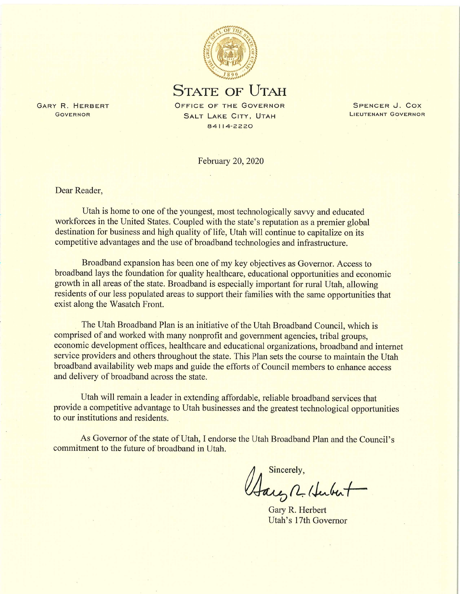

**STATE OF UTAH** 

OFFICE OF THE GOVERNOR SALT LAKE CITY, UTAH 84114-2220

February 20, 2020

Dear Reader.

GARY R. HERBERT

GOVERNOR

Utah is home to one of the youngest, most technologically savvy and educated workforces in the United States. Coupled with the state's reputation as a premier global destination for business and high quality of life. Utah will continue to capitalize on its competitive advantages and the use of broadband technologies and infrastructure.

Broadband expansion has been one of my key objectives as Governor. Access to broadband lays the foundation for quality healthcare, educational opportunities and economic growth in all areas of the state. Broadband is especially important for rural Utah, allowing residents of our less populated areas to support their families with the same opportunities that exist along the Wasatch Front.

The Utah Broadband Plan is an initiative of the Utah Broadband Council, which is comprised of and worked with many nonprofit and government agencies, tribal groups, economic development offices, healthcare and educational organizations, broadband and internet service providers and others throughout the state. This Plan sets the course to maintain the Utah broadband availability web maps and guide the efforts of Council members to enhance access and delivery of broadband across the state.

Utah will remain a leader in extending affordable, reliable broadband services that provide a competitive advantage to Utah businesses and the greatest technological opportunities to our institutions and residents.

As Governor of the state of Utah, I endorse the Utah Broadband Plan and the Council's commitment to the future of broadband in Utah.

Sincerely, Jaco R. Hubert

Gary R. Herbert Utah's 17th Governor

SPENCER J. COX LIEUTENANT GOVERNOR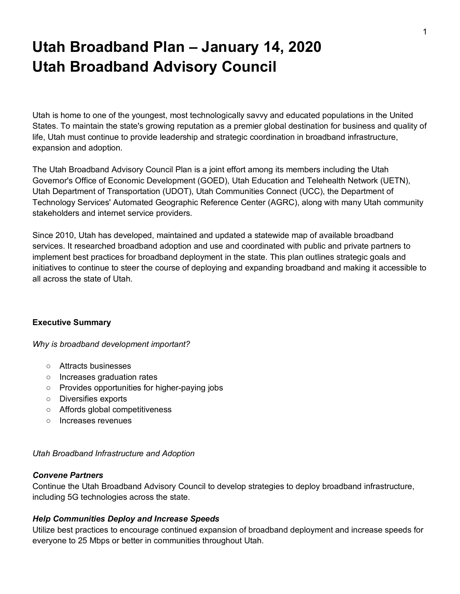# **Utah Broadband Plan – January 14, 2020 Utah Broadband Advisory Council**

Utah is home to one of the youngest, most technologically savvy and educated populations in the United States. To maintain the state's growing reputation as a premier global destination for business and quality of life, Utah must continue to provide leadership and strategic coordination in broadband infrastructure, expansion and adoption.

The Utah Broadband Advisory Council Plan is a joint effort among its members including the Utah Governor's Office of Economic Development (GOED), Utah Education and Telehealth Network (UETN), Utah Department of Transportation (UDOT), Utah Communities Connect (UCC), the Department of Technology Services' Automated Geographic Reference Center (AGRC), along with many Utah community stakeholders and internet service providers.

Since 2010, Utah has developed, maintained and updated a statewide map of available broadband services. It researched broadband adoption and use and coordinated with public and private partners to implement best practices for broadband deployment in the state. This plan outlines strategic goals and initiatives to continue to steer the course of deploying and expanding broadband and making it accessible to all across the state of Utah.

#### **Executive Summary**

*Why is broadband development important?*

- Attracts businesses
- Increases graduation rates
- Provides opportunities for higher-paying jobs
- Diversifies exports
- Affords global competitiveness
- Increases revenues

#### *Utah Broadband Infrastructure and Adoption*

#### *Convene Partners*

Continue the Utah Broadband Advisory Council to develop strategies to deploy broadband infrastructure, including 5G technologies across the state.

#### *Help Communities Deploy and Increase Speeds*

Utilize best practices to encourage continued expansion of broadband deployment and increase speeds for everyone to 25 Mbps or better in communities throughout Utah.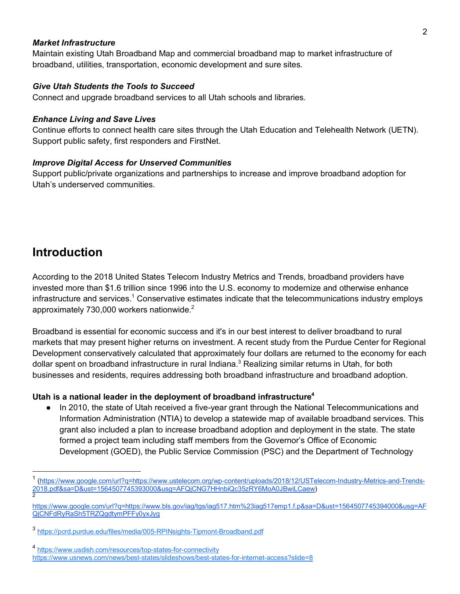#### *Market Infrastructure*

Maintain existing Utah Broadband Map and commercial broadband map to market infrastructure of broadband, utilities, transportation, economic development and sure sites.

#### *Give Utah Students the Tools to Succeed*

Connect and upgrade broadband services to all Utah schools and libraries.

#### *Enhance Living and Save Lives*

Continue efforts to connect health care sites through the Utah Education and Telehealth Network (UETN). Support public safety, first responders and FirstNet.

#### *Improve Digital Access for Unserved Communities*

Support public/private organizations and partnerships to increase and improve broadband adoption for Utah's underserved communities.

## **Introduction**

According to the 2018 United States Telecom Industry Metrics and Trends, broadband providers have invested more than \$1.6 trillion since 1996 into the U.S. economy to modernize and otherwise enhance infrastructure and services.<sup>1</sup> Conservative estimates indicate that the telecommunications industry employs approximately 730,000 workers nationwide.2

Broadband is essential for economic success and it's in our best interest to deliver broadband to rural markets that may present higher returns on investment. A recent study from the Purdue Center for Regional Development conservatively calculated that approximately four dollars are returned to the economy for each dollar spent on broadband infrastructure in rural Indiana.<sup>3</sup> Realizing similar returns in Utah, for both businesses and residents, requires addressing both broadband infrastructure and broadband adoption.

#### **Utah is a national leader in the deployment of broadband infrastructure4**

● In 2010, the state of Utah received a five-year grant through the National Telecommunications and Information Administration (NTIA) to develop a statewide map of available broadband services. This grant also included a plan to increase broadband adoption and deployment in the state. The state formed a project team including staff members from the Governor's Office of Economic Development (GOED), the Public Service Commission (PSC) and the Department of Technology

 <sup>1</sup> (https://www.google.com/url?q=https://www.ustelecom.org/wp-content/uploads/2018/12/USTelecom-Industry-Metrics-and-Trends-2018.pdf&sa=D&ust=1564507745393000&usg=AFQjCNG7HHnbiQc35zRY6MoA0JBwiLCaew) 2

https://www.google.com/url?q=https://www.bls.gov/iag/tgs/iag517.htm%23iag517emp1.f.p&sa=D&ust=1564507745394000&usg=AF QjCNFdRyRaSh5TRZQgdtymPFFy0yxJyg

<sup>3</sup> https://pcrd.purdue.edu/files/media/005-RPINsights-Tipmont-Broadband.pdf

<sup>4</sup> https://www.usdish.com/resources/top-states-for-connectivity https://www.usnews.com/news/best-states/slideshows/best-states-for-internet-access?slide=8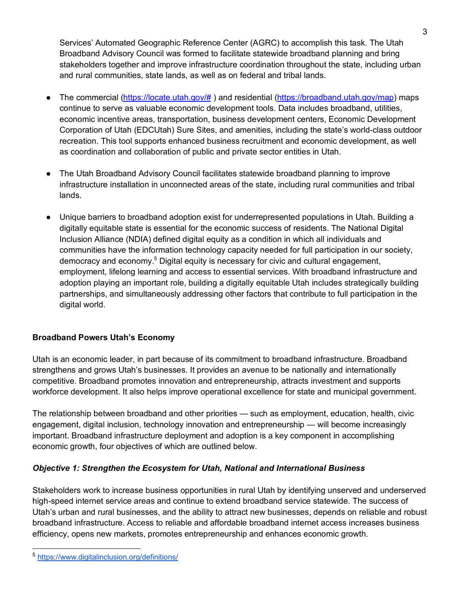Services' Automated Geographic Reference Center (AGRC) to accomplish this task. The Utah Broadband Advisory Council was formed to facilitate statewide broadband planning and bring stakeholders together and improve infrastructure coordination throughout the state, including urban and rural communities, state lands, as well as on federal and tribal lands.

3

- The commercial (https://locate.utah.gov/# ) and residential (https://broadband.utah.gov/map) maps continue to serve as valuable economic development tools. Data includes broadband, utilities, economic incentive areas, transportation, business development centers, Economic Development Corporation of Utah (EDCUtah) Sure Sites, and amenities, including the state's world-class outdoor recreation. This tool supports enhanced business recruitment and economic development, as well as coordination and collaboration of public and private sector entities in Utah.
- The Utah Broadband Advisory Council facilitates statewide broadband planning to improve infrastructure installation in unconnected areas of the state, including rural communities and tribal lands.
- Unique barriers to broadband adoption exist for underrepresented populations in Utah. Building a digitally equitable state is essential for the economic success of residents. The National Digital Inclusion Alliance (NDIA) defined digital equity as a condition in which all individuals and communities have the information technology capacity needed for full participation in our society, democracy and economy.<sup>5</sup> Digital equity is necessary for civic and cultural engagement, employment, lifelong learning and access to essential services. With broadband infrastructure and adoption playing an important role, building a digitally equitable Utah includes strategically building partnerships, and simultaneously addressing other factors that contribute to full participation in the digital world.

### **Broadband Powers Utah's Economy**

Utah is an economic leader, in part because of its commitment to broadband infrastructure. Broadband strengthens and grows Utah's businesses. It provides an avenue to be nationally and internationally competitive. Broadband promotes innovation and entrepreneurship, attracts investment and supports workforce development. It also helps improve operational excellence for state and municipal government.

The relationship between broadband and other priorities — such as employment, education, health, civic engagement, digital inclusion, technology innovation and entrepreneurship — will become increasingly important. Broadband infrastructure deployment and adoption is a key component in accomplishing economic growth, four objectives of which are outlined below.

### *Objective 1: Strengthen the Ecosystem for Utah, National and International Business*

Stakeholders work to increase business opportunities in rural Utah by identifying unserved and underserved high-speed internet service areas and continue to extend broadband service statewide. The success of Utah's urban and rural businesses, and the ability to attract new businesses, depends on reliable and robust broadband infrastructure. Access to reliable and affordable broadband internet access increases business efficiency, opens new markets, promotes entrepreneurship and enhances economic growth.

 <sup>5</sup> https://www.digitalinclusion.org/definitions/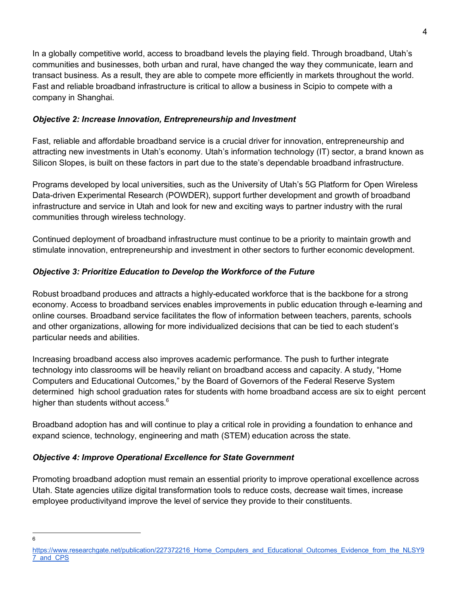In a globally competitive world, access to broadband levels the playing field. Through broadband, Utah's communities and businesses, both urban and rural, have changed the way they communicate, learn and transact business. As a result, they are able to compete more efficiently in markets throughout the world. Fast and reliable broadband infrastructure is critical to allow a business in Scipio to compete with a company in Shanghai.

### *Objective 2: Increase Innovation, Entrepreneurship and Investment*

Fast, reliable and affordable broadband service is a crucial driver for innovation, entrepreneurship and attracting new investments in Utah's economy. Utah's information technology (IT) sector, a brand known as Silicon Slopes, is built on these factors in part due to the state's dependable broadband infrastructure.

Programs developed by local universities, such as the University of Utah's 5G Platform for Open Wireless Data-driven Experimental Research (POWDER), support further development and growth of broadband infrastructure and service in Utah and look for new and exciting ways to partner industry with the rural communities through wireless technology.

Continued deployment of broadband infrastructure must continue to be a priority to maintain growth and stimulate innovation, entrepreneurship and investment in other sectors to further economic development.

### *Objective 3: Prioritize Education to Develop the Workforce of the Future*

Robust broadband produces and attracts a highly-educated workforce that is the backbone for a strong economy. Access to broadband services enables improvements in public education through e-learning and online courses. Broadband service facilitates the flow of information between teachers, parents, schools and other organizations, allowing for more individualized decisions that can be tied to each student's particular needs and abilities.

Increasing broadband access also improves academic performance. The push to further integrate technology into classrooms will be heavily reliant on broadband access and capacity. A study, "Home Computers and Educational Outcomes," by the Board of Governors of the Federal Reserve System determined high school graduation rates for students with home broadband access are six to eight percent higher than students without access.<sup>6</sup>

Broadband adoption has and will continue to play a critical role in providing a foundation to enhance and expand science, technology, engineering and math (STEM) education across the state.

### *Objective 4: Improve Operational Excellence for State Government*

Promoting broadband adoption must remain an essential priority to improve operational excellence across Utah. State agencies utilize digital transformation tools to reduce costs, decrease wait times, increase employee productivityand improve the level of service they provide to their constituents.

6

https://www.researchgate.net/publication/227372216 Home\_Computers\_and\_Educational\_Outcomes\_Evidence\_from\_the\_NLSY9 7\_and\_CPS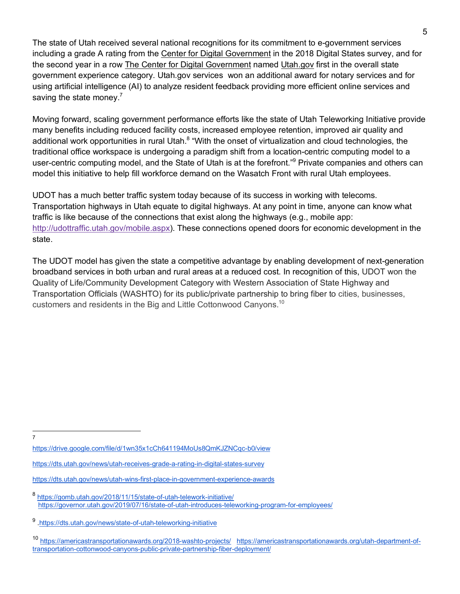The state of Utah received several national recognitions for its commitment to e-government services including a grade A rating from the Center for Digital Government in the 2018 Digital States survey, and for the second year in a row The Center for Digital Government named Utah.gov first in the overall state government experience category. Utah.gov services won an additional award for notary services and for using artificial intelligence (AI) to analyze resident feedback providing more efficient online services and saving the state money. $7$ 

Moving forward, scaling government performance efforts like the state of Utah Teleworking Initiative provide many benefits including reduced facility costs, increased employee retention, improved air quality and additional work opportunities in rural Utah.<sup>8</sup> "With the onset of virtualization and cloud technologies, the traditional office workspace is undergoing a paradigm shift from a location-centric computing model to a user-centric computing model, and the State of Utah is at the forefront."<sup>9</sup> Private companies and others can model this initiative to help fill workforce demand on the Wasatch Front with rural Utah employees.

UDOT has a much better traffic system today because of its success in working with telecoms. Transportation highways in Utah equate to digital highways. At any point in time, anyone can know what traffic is like because of the connections that exist along the highways (e.g., mobile app: http://udottraffic.utah.gov/mobile.aspx). These connections opened doors for economic development in the state.

The UDOT model has given the state a competitive advantage by enabling development of next-generation broadband services in both urban and rural areas at a reduced cost. In recognition of this, UDOT won the Quality of Life/Community Development Category with Western Association of State Highway and Transportation Officials (WASHTO) for its public/private partnership to bring fiber to cities, businesses, customers and residents in the Big and Little Cottonwood Canyons.10

7

https://drive.google.com/file/d/1wn35x1cCh641194MoUs8QmKJZNCqc-b0/view

<sup>9</sup> .https://dts.utah.gov/news/state-of-utah-teleworking-initiative

https://dts.utah.gov/news/utah-receives-grade-a-rating-in-digital-states-survey

https://dts.utah.gov/news/utah-wins-first-place-in-government-experience-awards

<sup>8</sup> https://gomb.utah.gov/2018/11/15/state-of-utah-telework-initiative/ https://governor.utah.gov/2019/07/16/state-of-utah-introduces-teleworking-program-for-employees/

<sup>10</sup> https://americastransportationawards.org/2018-washto-projects/ https://americastransportationawards.org/utah-department-oftransportation-cottonwood-canyons-public-private-partnership-fiber-deployment/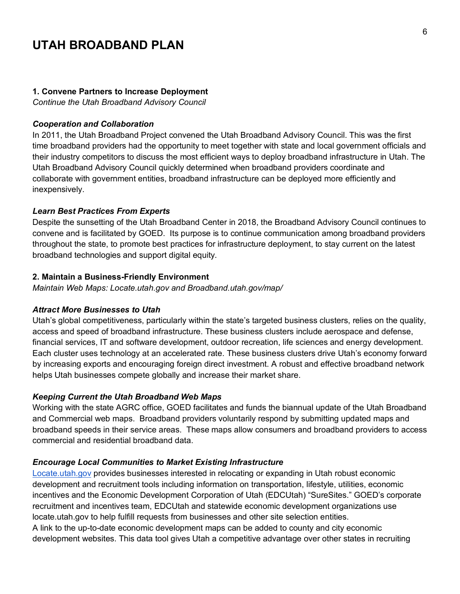# **UTAH BROADBAND PLAN**

#### **1. Convene Partners to Increase Deployment**

*Continue the Utah Broadband Advisory Council*

#### *Cooperation and Collaboration*

In 2011, the Utah Broadband Project convened the Utah Broadband Advisory Council. This was the first time broadband providers had the opportunity to meet together with state and local government officials and their industry competitors to discuss the most efficient ways to deploy broadband infrastructure in Utah. The Utah Broadband Advisory Council quickly determined when broadband providers coordinate and collaborate with government entities, broadband infrastructure can be deployed more efficiently and inexpensively.

#### *Learn Best Practices From Experts*

Despite the sunsetting of the Utah Broadband Center in 2018, the Broadband Advisory Council continues to convene and is facilitated by GOED. Its purpose is to continue communication among broadband providers throughout the state, to promote best practices for infrastructure deployment, to stay current on the latest broadband technologies and support digital equity.

#### **2. Maintain a Business-Friendly Environment**

*Maintain Web Maps: Locate.utah.gov and Broadband.utah.gov/map/*

#### *Attract More Businesses to Utah*

Utah's global competitiveness, particularly within the state's targeted business clusters, relies on the quality, access and speed of broadband infrastructure. These business clusters include aerospace and defense, financial services, IT and software development, outdoor recreation, life sciences and energy development. Each cluster uses technology at an accelerated rate. These business clusters drive Utah's economy forward by increasing exports and encouraging foreign direct investment. A robust and effective broadband network helps Utah businesses compete globally and increase their market share.

#### *Keeping Current the Utah Broadband Web Maps*

Working with the state AGRC office, GOED facilitates and funds the biannual update of the Utah Broadband and Commercial web maps. Broadband providers voluntarily respond by submitting updated maps and broadband speeds in their service areas. These maps allow consumers and broadband providers to access commercial and residential broadband data.

#### *Encourage Local Communities to Market Existing Infrastructure*

Locate.utah.gov provides businesses interested in relocating or expanding in Utah robust economic development and recruitment tools including information on transportation, lifestyle, utilities, economic incentives and the Economic Development Corporation of Utah (EDCUtah) "SureSites." GOED's corporate recruitment and incentives team, EDCUtah and statewide economic development organizations use locate.utah.gov to help fulfill requests from businesses and other site selection entities. A link to the up-to-date economic development maps can be added to county and city economic development websites. This data tool gives Utah a competitive advantage over other states in recruiting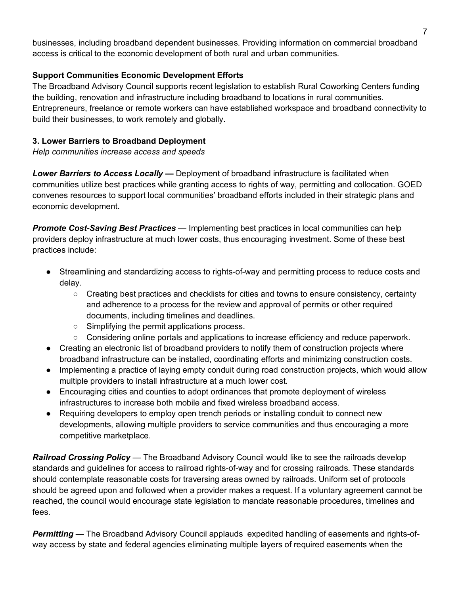businesses, including broadband dependent businesses. Providing information on commercial broadband access is critical to the economic development of both rural and urban communities.

### **Support Communities Economic Development Efforts**

The Broadband Advisory Council supports recent legislation to establish Rural Coworking Centers funding the building, renovation and infrastructure including broadband to locations in rural communities. Entrepreneurs, freelance or remote workers can have established workspace and broadband connectivity to build their businesses, to work remotely and globally.

### **3. Lower Barriers to Broadband Deployment**

*Help communities increase access and speeds*

*Lower Barriers to Access Locally —* Deployment of broadband infrastructure is facilitated when communities utilize best practices while granting access to rights of way, permitting and collocation. GOED convenes resources to support local communities' broadband efforts included in their strategic plans and economic development.

*Promote Cost-Saving Best Practices* — Implementing best practices in local communities can help providers deploy infrastructure at much lower costs, thus encouraging investment. Some of these best practices include:

- Streamlining and standardizing access to rights-of-way and permitting process to reduce costs and delay.
	- Creating best practices and checklists for cities and towns to ensure consistency, certainty and adherence to a process for the review and approval of permits or other required documents, including timelines and deadlines.
	- Simplifying the permit applications process.
	- Considering online portals and applications to increase efficiency and reduce paperwork.
- Creating an electronic list of broadband providers to notify them of construction projects where broadband infrastructure can be installed, coordinating efforts and minimizing construction costs.
- Implementing a practice of laying empty conduit during road construction projects, which would allow multiple providers to install infrastructure at a much lower cost.
- Encouraging cities and counties to adopt ordinances that promote deployment of wireless infrastructures to increase both mobile and fixed wireless broadband access.
- Requiring developers to employ open trench periods or installing conduit to connect new developments, allowing multiple providers to service communities and thus encouraging a more competitive marketplace.

*Railroad Crossing Policy —* The Broadband Advisory Council would like to see the railroads develop standards and guidelines for access to railroad rights-of-way and for crossing railroads. These standards should contemplate reasonable costs for traversing areas owned by railroads. Uniform set of protocols should be agreed upon and followed when a provider makes a request. If a voluntary agreement cannot be reached, the council would encourage state legislation to mandate reasonable procedures, timelines and fees.

*Permitting —* The Broadband Advisory Council applauds expedited handling of easements and rights-ofway access by state and federal agencies eliminating multiple layers of required easements when the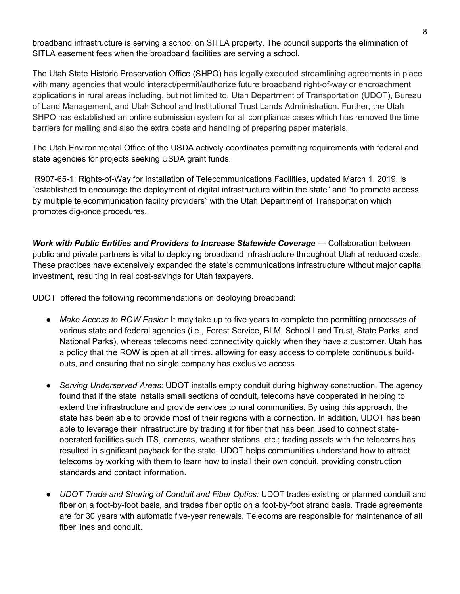broadband infrastructure is serving a school on SITLA property. The council supports the elimination of SITLA easement fees when the broadband facilities are serving a school.

The Utah State Historic Preservation Office (SHPO) has legally executed streamlining agreements in place with many agencies that would interact/permit/authorize future broadband right-of-way or encroachment applications in rural areas including, but not limited to, Utah Department of Transportation (UDOT), Bureau of Land Management, and Utah School and Institutional Trust Lands Administration. Further, the Utah SHPO has established an online submission system for all compliance cases which has removed the time barriers for mailing and also the extra costs and handling of preparing paper materials.

The Utah Environmental Office of the USDA actively coordinates permitting requirements with federal and state agencies for projects seeking USDA grant funds.

R907-65-1: Rights-of-Way for Installation of Telecommunications Facilities, updated March 1, 2019, is "established to encourage the deployment of digital infrastructure within the state" and "to promote access by multiple telecommunication facility providers" with the Utah Department of Transportation which promotes dig-once procedures.

*Work with Public Entities and Providers to Increase Statewide Coverage — Collaboration between* public and private partners is vital to deploying broadband infrastructure throughout Utah at reduced costs. These practices have extensively expanded the state's communications infrastructure without major capital investment, resulting in real cost-savings for Utah taxpayers.

UDOT offered the following recommendations on deploying broadband:

- *Make Access to ROW Easier:* It may take up to five years to complete the permitting processes of various state and federal agencies (i.e., Forest Service, BLM, School Land Trust, State Parks, and National Parks), whereas telecoms need connectivity quickly when they have a customer. Utah has a policy that the ROW is open at all times, allowing for easy access to complete continuous buildouts, and ensuring that no single company has exclusive access.
- *Serving Underserved Areas:* UDOT installs empty conduit during highway construction. The agency found that if the state installs small sections of conduit, telecoms have cooperated in helping to extend the infrastructure and provide services to rural communities. By using this approach, the state has been able to provide most of their regions with a connection. In addition, UDOT has been able to leverage their infrastructure by trading it for fiber that has been used to connect stateoperated facilities such ITS, cameras, weather stations, etc.; trading assets with the telecoms has resulted in significant payback for the state. UDOT helps communities understand how to attract telecoms by working with them to learn how to install their own conduit, providing construction standards and contact information.
- *UDOT Trade and Sharing of Conduit and Fiber Optics:* UDOT trades existing or planned conduit and fiber on a foot-by-foot basis, and trades fiber optic on a foot-by-foot strand basis. Trade agreements are for 30 years with automatic five-year renewals. Telecoms are responsible for maintenance of all fiber lines and conduit.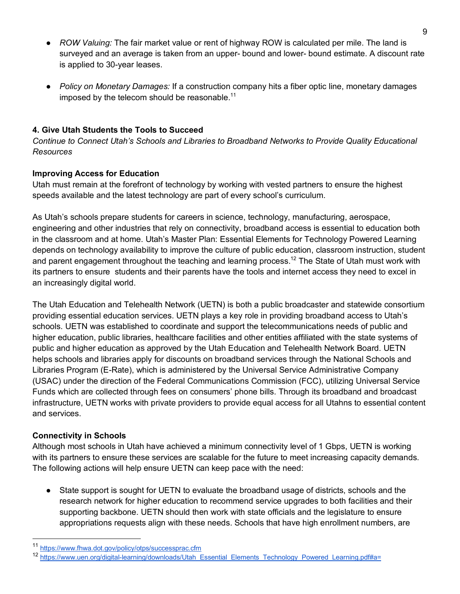- *ROW Valuing:* The fair market value or rent of highway ROW is calculated per mile. The land is surveyed and an average is taken from an upper- bound and lower- bound estimate. A discount rate is applied to 30-year leases.
- *Policy on Monetary Damages:* If a construction company hits a fiber optic line, monetary damages imposed by the telecom should be reasonable.<sup>11</sup>

### **4. Give Utah Students the Tools to Succeed**

*Continue to Connect Utah's Schools and Libraries to Broadband Networks to Provide Quality Educational Resources*

### **Improving Access for Education**

Utah must remain at the forefront of technology by working with vested partners to ensure the highest speeds available and the latest technology are part of every school's curriculum.

As Utah's schools prepare students for careers in science, technology, manufacturing, aerospace, engineering and other industries that rely on connectivity, broadband access is essential to education both in the classroom and at home. Utah's Master Plan: Essential Elements for Technology Powered Learning depends on technology availability to improve the culture of public education, classroom instruction, student and parent engagement throughout the teaching and learning process.<sup>12</sup> The State of Utah must work with its partners to ensure students and their parents have the tools and internet access they need to excel in an increasingly digital world.

The Utah Education and Telehealth Network (UETN) is both a public broadcaster and statewide consortium providing essential education services. UETN plays a key role in providing broadband access to Utah's schools. UETN was established to coordinate and support the telecommunications needs of public and higher education, public libraries, healthcare facilities and other entities affiliated with the state systems of public and higher education as approved by the Utah Education and Telehealth Network Board. UETN helps schools and libraries apply for discounts on broadband services through the National Schools and Libraries Program (E-Rate), which is administered by the Universal Service Administrative Company (USAC) under the direction of the Federal Communications Commission (FCC), utilizing Universal Service Funds which are collected through fees on consumers' phone bills. Through its broadband and broadcast infrastructure, UETN works with private providers to provide equal access for all Utahns to essential content and services.

### **Connectivity in Schools**

Although most schools in Utah have achieved a minimum connectivity level of 1 Gbps, UETN is working with its partners to ensure these services are scalable for the future to meet increasing capacity demands. The following actions will help ensure UETN can keep pace with the need:

• State support is sought for UETN to evaluate the broadband usage of districts, schools and the research network for higher education to recommend service upgrades to both facilities and their supporting backbone. UETN should then work with state officials and the legislature to ensure appropriations requests align with these needs. Schools that have high enrollment numbers, are

https://www.fhwa.dot.gov/policy/otps/successprac.cfm

<sup>12</sup> https://www.uen.org/digital-learning/downloads/Utah\_Essential\_Elements\_Technology\_Powered\_Learning.pdf#a=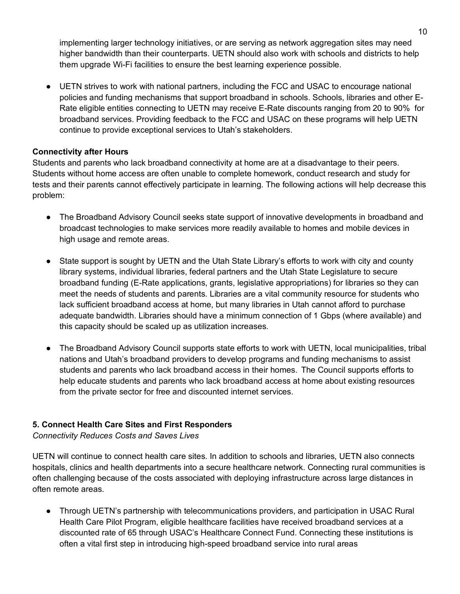implementing larger technology initiatives, or are serving as network aggregation sites may need higher bandwidth than their counterparts. UETN should also work with schools and districts to help them upgrade Wi-Fi facilities to ensure the best learning experience possible.

● UETN strives to work with national partners, including the FCC and USAC to encourage national policies and funding mechanisms that support broadband in schools. Schools, libraries and other E-Rate eligible entities connecting to UETN may receive E-Rate discounts ranging from 20 to 90% for broadband services. Providing feedback to the FCC and USAC on these programs will help UETN continue to provide exceptional services to Utah's stakeholders.

### **Connectivity after Hours**

Students and parents who lack broadband connectivity at home are at a disadvantage to their peers. Students without home access are often unable to complete homework, conduct research and study for tests and their parents cannot effectively participate in learning. The following actions will help decrease this problem:

- The Broadband Advisory Council seeks state support of innovative developments in broadband and broadcast technologies to make services more readily available to homes and mobile devices in high usage and remote areas.
- State support is sought by UETN and the Utah State Library's efforts to work with city and county library systems, individual libraries, federal partners and the Utah State Legislature to secure broadband funding (E-Rate applications, grants, legislative appropriations) for libraries so they can meet the needs of students and parents. Libraries are a vital community resource for students who lack sufficient broadband access at home, but many libraries in Utah cannot afford to purchase adequate bandwidth. Libraries should have a minimum connection of 1 Gbps (where available) and this capacity should be scaled up as utilization increases.
- The Broadband Advisory Council supports state efforts to work with UETN, local municipalities, tribal nations and Utah's broadband providers to develop programs and funding mechanisms to assist students and parents who lack broadband access in their homes. The Council supports efforts to help educate students and parents who lack broadband access at home about existing resources from the private sector for free and discounted internet services.

### **5. Connect Health Care Sites and First Responders**

*Connectivity Reduces Costs and Saves Lives*

UETN will continue to connect health care sites. In addition to schools and libraries, UETN also connects hospitals, clinics and health departments into a secure healthcare network. Connecting rural communities is often challenging because of the costs associated with deploying infrastructure across large distances in often remote areas.

● Through UETN's partnership with telecommunications providers, and participation in USAC Rural Health Care Pilot Program, eligible healthcare facilities have received broadband services at a discounted rate of 65 through USAC's Healthcare Connect Fund. Connecting these institutions is often a vital first step in introducing high-speed broadband service into rural areas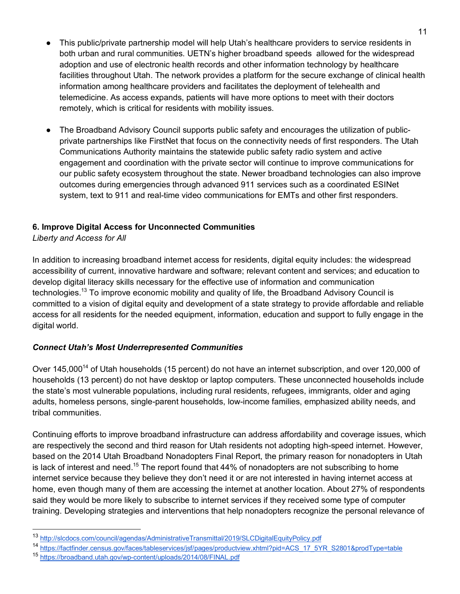- This public/private partnership model will help Utah's healthcare providers to service residents in both urban and rural communities. UETN's higher broadband speeds allowed for the widespread adoption and use of electronic health records and other information technology by healthcare facilities throughout Utah. The network provides a platform for the secure exchange of clinical health information among healthcare providers and facilitates the deployment of telehealth and telemedicine. As access expands, patients will have more options to meet with their doctors remotely, which is critical for residents with mobility issues.
- The Broadband Advisory Council supports public safety and encourages the utilization of publicprivate partnerships like FirstNet that focus on the connectivity needs of first responders. The Utah Communications Authority maintains the statewide public safety radio system and active engagement and coordination with the private sector will continue to improve communications for our public safety ecosystem throughout the state. Newer broadband technologies can also improve outcomes during emergencies through advanced 911 services such as a coordinated ESINet system, text to 911 and real-time video communications for EMTs and other first responders.

### **6. Improve Digital Access for Unconnected Communities**

*Liberty and Access for All*

In addition to increasing broadband internet access for residents, digital equity includes: the widespread accessibility of current, innovative hardware and software; relevant content and services; and education to develop digital literacy skills necessary for the effective use of information and communication technologies.13 To improve economic mobility and quality of life, the Broadband Advisory Council is committed to a vision of digital equity and development of a state strategy to provide affordable and reliable access for all residents for the needed equipment, information, education and support to fully engage in the digital world.

### *Connect Utah's Most Underrepresented Communities*

Over 145,000<sup>14</sup> of Utah households (15 percent) do not have an internet subscription, and over 120,000 of households (13 percent) do not have desktop or laptop computers. These unconnected households include the state's most vulnerable populations, including rural residents, refugees, immigrants, older and aging adults, homeless persons, single-parent households, low-income families, emphasized ability needs, and tribal communities.

Continuing efforts to improve broadband infrastructure can address affordability and coverage issues, which are respectively the second and third reason for Utah residents not adopting high-speed internet. However, based on the 2014 Utah Broadband Nonadopters Final Report, the primary reason for nonadopters in Utah is lack of interest and need.<sup>15</sup> The report found that  $44\%$  of nonadopters are not subscribing to home internet service because they believe they don't need it or are not interested in having internet access at home, even though many of them are accessing the internet at another location. About 27% of respondents said they would be more likely to subscribe to internet services if they received some type of computer training. Developing strategies and interventions that help nonadopters recognize the personal relevance of

14 https://factfinder.census.gov/faces/tableservices/jsf/pages/productview.xhtml?pid=ACS\_17\_5YR\_S2801&prodType=table

 <sup>13</sup> http://slcdocs.com/council/agendas/AdministrativeTransmittal/2019/SLCDigitalEquityPolicy.pdf

<sup>15</sup> https://broadband.utah.gov/wp-content/uploads/2014/08/FINAL.pdf